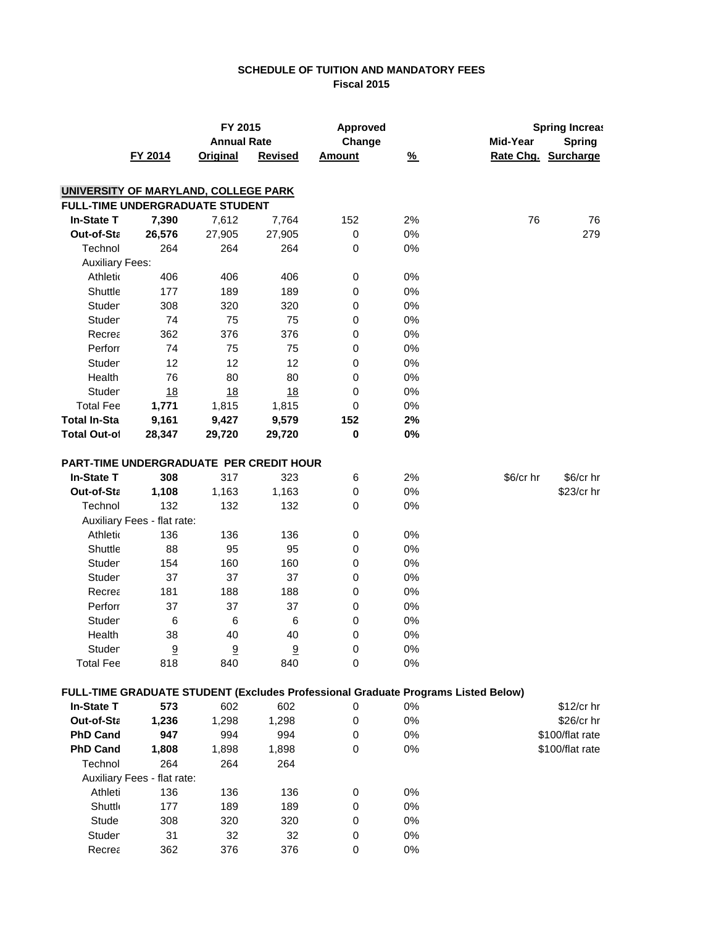# **SCHEDULE OF TUITION AND MANDATORY FEES Fiscal 2015**

|                        |                                         | FY 2015            |                | <b>Approved</b> |               |                                                                                   | <b>Spring Increas</b> |
|------------------------|-----------------------------------------|--------------------|----------------|-----------------|---------------|-----------------------------------------------------------------------------------|-----------------------|
|                        |                                         | <b>Annual Rate</b> |                | Change          |               | Mid-Year                                                                          | <b>Spring</b>         |
|                        | FY 2014                                 | <b>Original</b>    | <b>Revised</b> | <b>Amount</b>   | $\frac{9}{6}$ |                                                                                   | Rate Chg. Surcharge   |
|                        |                                         |                    |                |                 |               |                                                                                   |                       |
|                        | UNIVERSITY OF MARYLAND, COLLEGE PARK    |                    |                |                 |               |                                                                                   |                       |
|                        | <b>FULL-TIME UNDERGRADUATE STUDENT</b>  |                    |                |                 |               |                                                                                   |                       |
| <b>In-State T</b>      | 7,390                                   | 7,612              | 7,764          | 152             | 2%            | 76                                                                                | 76                    |
| Out-of-Sta             | 26,576                                  | 27,905             | 27,905         | $\,0\,$         | 0%            |                                                                                   | 279                   |
| Technol                | 264                                     | 264                | 264            | 0               | 0%            |                                                                                   |                       |
| <b>Auxiliary Fees:</b> |                                         |                    |                |                 |               |                                                                                   |                       |
| Athletic               | 406                                     | 406                | 406            | $\,0\,$         | 0%            |                                                                                   |                       |
| Shuttle                | 177                                     | 189                | 189            | 0               | 0%            |                                                                                   |                       |
| Studer                 | 308                                     | 320                | 320            | 0               | 0%            |                                                                                   |                       |
| Studer                 | 74                                      | 75                 | 75             | 0               | 0%            |                                                                                   |                       |
| Recrea                 | 362                                     | 376                | 376            | 0               | 0%            |                                                                                   |                       |
| Perforr                | 74                                      | 75                 | 75             | 0               | 0%            |                                                                                   |                       |
| Studer                 | 12                                      | 12                 | 12             | 0               | 0%            |                                                                                   |                       |
| Health                 | 76                                      | 80                 | 80             | 0               | $0\%$         |                                                                                   |                       |
| Studer                 | 18                                      | 18                 | 18             | 0               | $0\%$         |                                                                                   |                       |
| <b>Total Fee</b>       | 1,771                                   | 1,815              | 1,815          | $\pmb{0}$       | $0\%$         |                                                                                   |                       |
| <b>Total In-Sta</b>    | 9,161                                   | 9,427              | 9,579          | 152             | 2%            |                                                                                   |                       |
| <b>Total Out-of</b>    | 28,347                                  | 29,720             | 29,720         | $\bf{0}$        | $0\%$         |                                                                                   |                       |
|                        | PART-TIME UNDERGRADUATE PER CREDIT HOUR |                    |                |                 |               |                                                                                   |                       |
| <b>In-State T</b>      | 308                                     | 317                | 323            | 6               | 2%            | \$6/cr hr                                                                         | $$6/cr$ hr            |
| Out-of-Sta             | 1,108                                   | 1,163              | 1,163          | 0               | 0%            |                                                                                   | \$23/cr hr            |
| Technol                | 132                                     | 132                | 132            | 0               | 0%            |                                                                                   |                       |
|                        | Auxiliary Fees - flat rate:             |                    |                |                 |               |                                                                                   |                       |
| Athletic               | 136                                     | 136                | 136            | $\,0\,$         | 0%            |                                                                                   |                       |
| Shuttle                | 88                                      | 95                 | 95             | $\,0\,$         | 0%            |                                                                                   |                       |
| Studer                 | 154                                     | 160                | 160            | 0               | $0\%$         |                                                                                   |                       |
| Studer                 | 37                                      | 37                 | 37             | 0               | 0%            |                                                                                   |                       |
| Recrea                 | 181                                     | 188                | 188            | 0               | 0%            |                                                                                   |                       |
| Perforr                | 37                                      | 37                 | 37             | 0               | 0%            |                                                                                   |                       |
| Studer                 | $\,6$                                   | 6                  | 6              | 0               | 0%            |                                                                                   |                       |
| Health                 | 38                                      | 40                 | 40             | 0               | 0%            |                                                                                   |                       |
| Studer                 | $\overline{\partial}$                   | 9                  | 9              | 0               | 0%            |                                                                                   |                       |
| <b>Total Fee</b>       | 818                                     | 840                | 840            | 0               | 0%            |                                                                                   |                       |
|                        |                                         |                    |                |                 |               | FULL-TIME GRADUATE STUDENT (Excludes Professional Graduate Programs Listed Below) |                       |
| <b>In-State T</b>      | 573                                     | 602                | 602            | 0               | 0%            |                                                                                   | \$12/cr hr            |
| Out-of-Sta             | 1,236                                   | 1,298              | 1,298          | 0               | 0%            |                                                                                   | \$26/cr hr            |
| <b>PhD Cand</b>        | 947                                     | 994                | 994            | 0               | 0%            |                                                                                   | \$100/flat rate       |
| <b>PhD Cand</b>        | 1,808                                   | 1,898              | 1,898          | 0               | 0%            |                                                                                   | \$100/flat rate       |
| Technol                | 264                                     | 264                | 264            |                 |               |                                                                                   |                       |
|                        | Auxiliary Fees - flat rate:             |                    |                |                 |               |                                                                                   |                       |
| Athleti                | 136                                     | 136                | 136            | 0               | 0%            |                                                                                   |                       |
| <b>Shuttle</b>         | 177                                     | 189                | 189            | 0               | 0%            |                                                                                   |                       |
| Stude                  | 308                                     | 320                | 320            | 0               | 0%            |                                                                                   |                       |
| Studer                 | 31                                      | 32                 | 32             | 0               | 0%            |                                                                                   |                       |
| Recrea                 | 362                                     | 376                | 376            | 0               | 0%            |                                                                                   |                       |
|                        |                                         |                    |                |                 |               |                                                                                   |                       |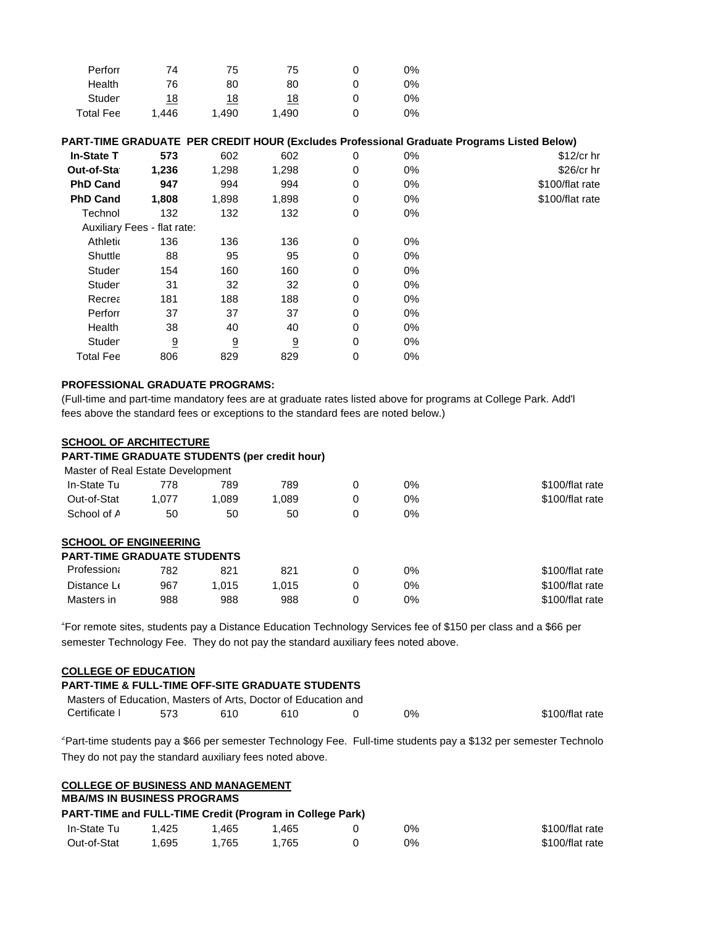| Perforr          | 74         | 75         | 75         | 0% |
|------------------|------------|------------|------------|----|
| Health           | 76         | 80         | 80         | 0% |
| Studer           | <u> 18</u> | <u> 18</u> | <u> 18</u> | 0% |
| <b>Total Fee</b> | 1.446      | 1,490      | 1.490      | 0% |

# **PART-TIME GRADUATE PER CREDIT HOUR (Excludes Professional Graduate Programs Listed Below)**

| 573   | 602   | 602                         | 0 | 0%    | $$12/cr$ hr     |
|-------|-------|-----------------------------|---|-------|-----------------|
| 1,236 | 1,298 | 1,298                       | 0 | 0%    | $$26/cr$ hr     |
| 947   | 994   | 994                         | 0 | 0%    | \$100/flat rate |
| 1,808 | 1,898 | 1,898                       | 0 | 0%    | \$100/flat rate |
| 132   | 132   | 132                         | 0 | 0%    |                 |
|       |       |                             |   |       |                 |
| 136   | 136   | 136                         | 0 | 0%    |                 |
| 88    | 95    | 95                          | 0 | $0\%$ |                 |
| 154   | 160   | 160                         | 0 | 0%    |                 |
| 31    | 32    | 32                          | 0 | 0%    |                 |
| 181   | 188   | 188                         | 0 | 0%    |                 |
| 37    | 37    | 37                          | 0 | 0%    |                 |
| 38    | 40    | 40                          | 0 | 0%    |                 |
| 9     | 9     | <u>១</u>                    | 0 | $0\%$ |                 |
| 806   | 829   | 829                         | 0 | 0%    |                 |
|       |       | Auxiliary Fees - flat rate: |   |       |                 |

# **PROFESSIONAL GRADUATE PROGRAMS:**

(Full-time and part-time mandatory fees are at graduate rates listed above for programs at College Park. Add'l fees above the standard fees or exceptions to the standard fees are noted below.)

### **SCHOOL OF ARCHITECTURE PART-TIME GRADUATE STUDENTS (per credit hour)**

| PART-TIME GRADUATE STUDENTS (DEFICTED TOUR)          |                 |
|------------------------------------------------------|-----------------|
| Master of Real Estate Development                    |                 |
| In-State Tu<br>789<br>789<br>0<br>$0\%$<br>778       | \$100/flat rate |
| Out-of-Stat<br>1,089<br>$0\%$<br>1.089<br>1.077<br>0 | \$100/flat rate |
| School of A<br>50<br>0<br>0%<br>50<br>50             |                 |
| <b>SCHOOL OF ENGINEERING</b>                         |                 |
| <b>PART-TIME GRADUATE STUDENTS</b>                   |                 |
| Profession<br>$0\%$<br>821<br>821<br>0<br>782        | \$100/flat rate |
| 0<br>$0\%$<br>Distance Le<br>967<br>1.015<br>1.015   | \$100/flat rate |
| 988<br>988<br>0<br>$0\%$<br>Masters in<br>988        | \$100/flat rate |

1 For remote sites, students pay a Distance Education Technology Services fee of \$150 per class and a \$66 per semester Technology Fee. They do not pay the standard auxiliary fees noted above.

# **COLLEGE OF EDUCATION**

| <b>PART-TIME &amp; FULL-TIME OFF-SITE GRADUATE STUDENTS</b>    |     |     |      |    |                 |
|----------------------------------------------------------------|-----|-----|------|----|-----------------|
| Masters of Education, Masters of Arts, Doctor of Education and |     |     |      |    |                 |
| Certificate I                                                  | 573 | 610 | 610. | 0% | \$100/flat rate |

2 Part-time students pay a \$66 per semester Technology Fee. Full-time students pay a \$132 per semester Technolo They do not pay the standard auxiliary fees noted above.

| <b>COLLEGE OF BUSINESS AND MANAGEMENT</b>                |       |       |       |    |                 |
|----------------------------------------------------------|-------|-------|-------|----|-----------------|
| <b>MBA/MS IN BUSINESS PROGRAMS</b>                       |       |       |       |    |                 |
| PART-TIME and FULL-TIME Credit (Program in College Park) |       |       |       |    |                 |
| In-State Tu                                              | 1.425 | 1.465 | 1.465 | 0% | \$100/flat rate |
| Out-of-Stat                                              | .695  | 1.765 | 1.765 | 0% | \$100/flat rate |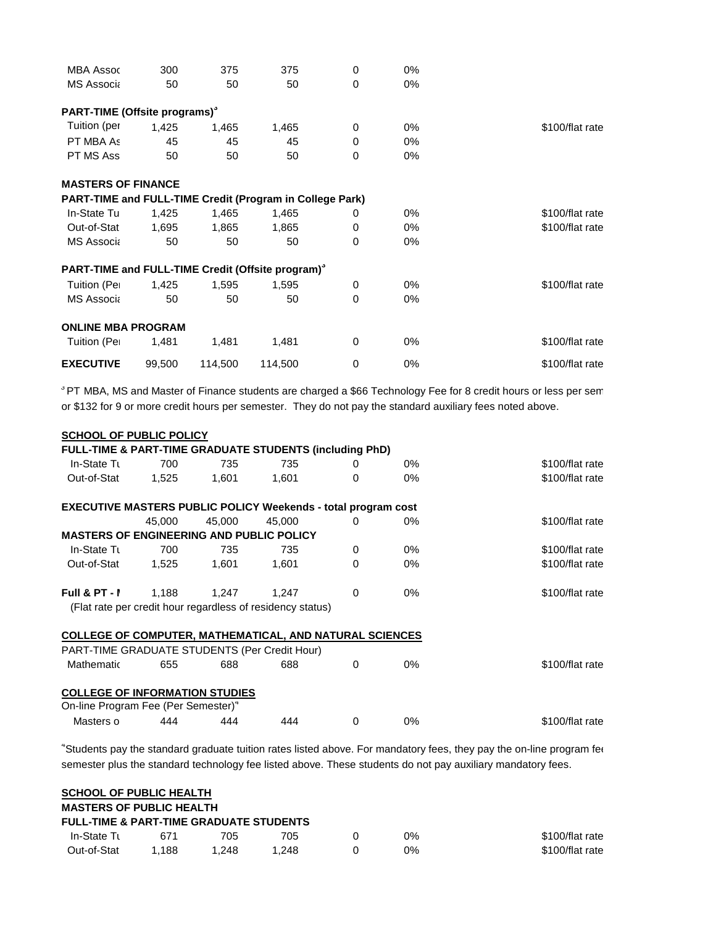| <b>MBA Assoc</b>                          | 300    | 375     | 375                                                           | 0           | $0\%$ |                 |
|-------------------------------------------|--------|---------|---------------------------------------------------------------|-------------|-------|-----------------|
| <b>MS Associa</b>                         | 50     | 50      | 50                                                            | $\mathbf 0$ | $0\%$ |                 |
| PART-TIME (Offsite programs) <sup>3</sup> |        |         |                                                               |             |       |                 |
| Tuition (per                              | 1,425  | 1,465   | 1,465                                                         | $\Omega$    | 0%    | \$100/flat rate |
| PT MBA As                                 | 45     | 45      | 45                                                            | $\Omega$    | 0%    |                 |
| PT MS Ass                                 | 50     | 50      | 50                                                            | 0           | $0\%$ |                 |
| <b>MASTERS OF FINANCE</b>                 |        |         |                                                               |             |       |                 |
|                                           |        |         | PART-TIME and FULL-TIME Credit (Program in College Park)      |             |       |                 |
| In-State Tu                               | 1,425  | 1,465   | 1,465                                                         | 0           | 0%    | \$100/flat rate |
| Out-of-Stat                               | 1,695  | 1,865   | 1,865                                                         | 0           | 0%    | \$100/flat rate |
| <b>MS Associa</b>                         | 50     | 50      | 50                                                            | $\Omega$    | $0\%$ |                 |
|                                           |        |         | PART-TIME and FULL-TIME Credit (Offsite program) <sup>3</sup> |             |       |                 |
| Tuition (Per                              | 1,425  | 1,595   | 1,595                                                         | $\Omega$    | 0%    | \$100/flat rate |
| <b>MS Associa</b>                         | 50     | 50      | 50                                                            | 0           | $0\%$ |                 |
| <b>ONLINE MBA PROGRAM</b>                 |        |         |                                                               |             |       |                 |
| Tuition (Per                              | 1,481  | 1,481   | 1,481                                                         | 0           | 0%    | \$100/flat rate |
| <b>EXECUTIVE</b>                          | 99,500 | 114,500 | 114,500                                                       | $\mathbf 0$ | 0%    | \$100/flat rate |

*<sup>3</sup>* PT MBA, MS and Master of Finance students are charged a \$66 Technology Fee for 8 credit hours or less per sem or \$132 for 9 or more credit hours per semester. They do not pay the standard auxiliary fees noted above.

| <b>SCHOOL OF PUBLIC POLICY</b>                                       |        |        |                                                            |          |       |                 |
|----------------------------------------------------------------------|--------|--------|------------------------------------------------------------|----------|-------|-----------------|
| FULL-TIME & PART-TIME GRADUATE STUDENTS (including PhD)              |        |        |                                                            |          |       |                 |
| In-State Tu                                                          | 700    | 735    | 735                                                        | 0        | $0\%$ | \$100/flat rate |
| Out-of-Stat                                                          | 1,525  | 1,601  | 1,601                                                      | $\Omega$ | 0%    | \$100/flat rate |
| <b>EXECUTIVE MASTERS PUBLIC POLICY Weekends - total program cost</b> |        |        |                                                            |          |       |                 |
|                                                                      | 45.000 | 45,000 | 45,000                                                     | $\Omega$ | 0%    | \$100/flat rate |
| <b>MASTERS OF ENGINEERING AND PUBLIC POLICY</b>                      |        |        |                                                            |          |       |                 |
| In-State Tu                                                          | 700    | 735    | 735                                                        | $\Omega$ | 0%    | \$100/flat rate |
| Out-of-Stat                                                          | 1,525  | 1,601  | 1,601                                                      | 0        | $0\%$ | \$100/flat rate |
| Full & PT - I                                                        | 1,188  | 1,247  | 1.247                                                      | $\Omega$ | 0%    | \$100/flat rate |
|                                                                      |        |        | (Flat rate per credit hour regardless of residency status) |          |       |                 |
| <b>COLLEGE OF COMPUTER, MATHEMATICAL, AND NATURAL SCIENCES</b>       |        |        |                                                            |          |       |                 |
| PART-TIME GRADUATE STUDENTS (Per Credit Hour)                        |        |        |                                                            |          |       |                 |
| Mathematic                                                           | 655    | 688    | 688                                                        | $\Omega$ | 0%    | \$100/flat rate |
| <b>COLLEGE OF INFORMATION STUDIES</b>                                |        |        |                                                            |          |       |                 |
| On-line Program Fee (Per Semester) <sup>4</sup>                      |        |        |                                                            |          |       |                 |
| Masters o                                                            | 444    | 444    | 444                                                        | 0        | 0%    | \$100/flat rate |

4 Students pay the standard graduate tuition rates listed above. For mandatory fees, they pay the on-line program fee semester plus the standard technology fee listed above. These students do not pay auxiliary mandatory fees.

| <b>SCHOOL OF PUBLIC HEALTH</b>                     |       |       |       |    |                 |
|----------------------------------------------------|-------|-------|-------|----|-----------------|
| <b>MASTERS OF PUBLIC HEALTH</b>                    |       |       |       |    |                 |
| <b>FULL-TIME &amp; PART-TIME GRADUATE STUDENTS</b> |       |       |       |    |                 |
| <b>In-State Tu</b>                                 | 671   | 705   | 705   | 0% | \$100/flat rate |
| Out-of-Stat                                        | 1.188 | 1.248 | 1.248 | 0% | \$100/flat rate |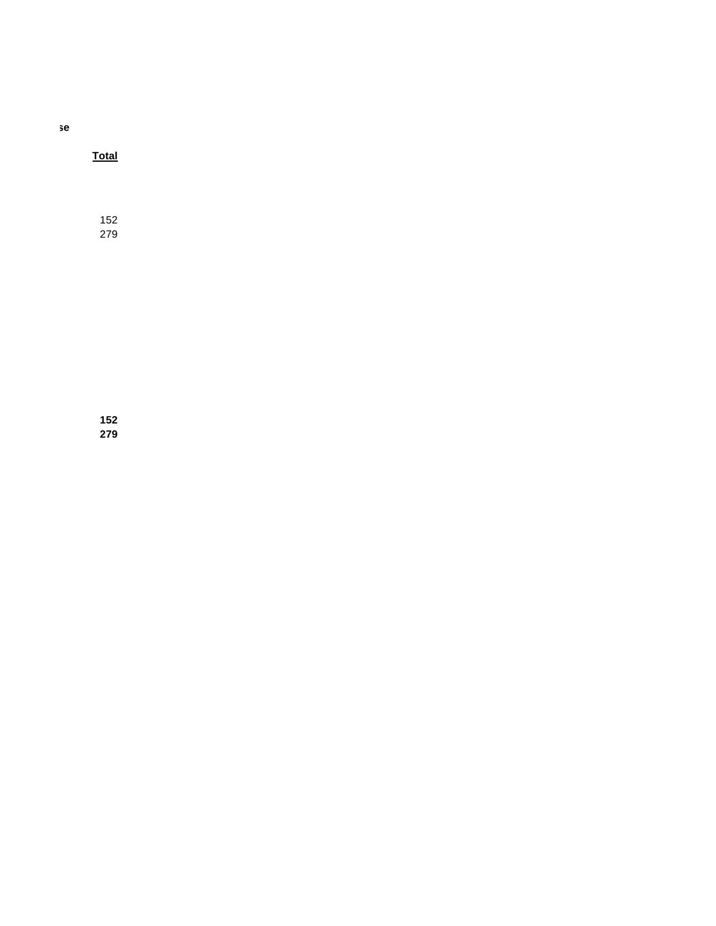se

**Total**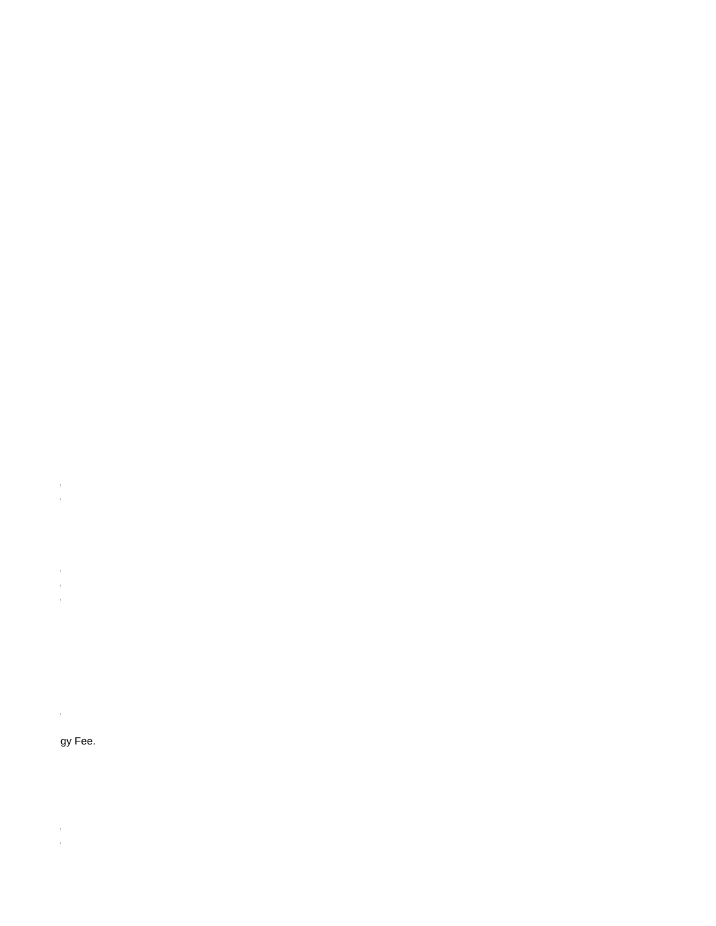- $\begin{array}{l} \mathbf{1} & \mathbf{1} \\ \mathbf{1} & \mathbf{1} \\ \mathbf{1} & \mathbf{1} \end{array}$ 
	-
	-
- $\begin{aligned} \frac{1}{\sqrt{2}}\left( \frac{1}{\sqrt{2}}\right) & =\frac{1}{2}\left( \frac{1}{2}\right) \left( \frac{1}{2}\right) \end{aligned}$ 
	-
- 
- $\mathbf{H}^{(1)}$  and

# gy Fee.

- 
- 
- $\begin{array}{c} 1 \\ 1 \\ 1 \end{array}$ 
	-